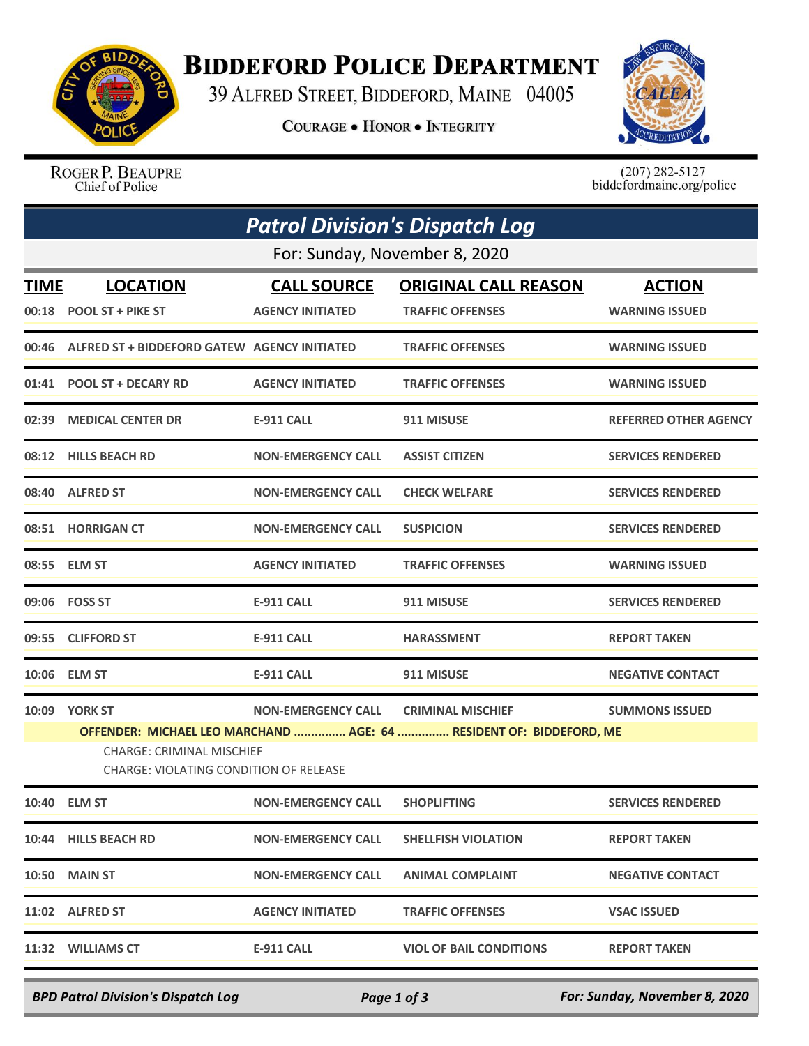

## **BIDDEFORD POLICE DEPARTMENT**

39 ALFRED STREET, BIDDEFORD, MAINE 04005

**COURAGE . HONOR . INTEGRITY** 



ROGER P. BEAUPRE Chief of Police

 $(207)$  282-5127<br>biddefordmaine.org/police

| <b>Patrol Division's Dispatch Log</b> |                                                                                                                                                   |                           |                                |                          |  |  |  |
|---------------------------------------|---------------------------------------------------------------------------------------------------------------------------------------------------|---------------------------|--------------------------------|--------------------------|--|--|--|
| For: Sunday, November 8, 2020         |                                                                                                                                                   |                           |                                |                          |  |  |  |
| TIME                                  | <b>LOCATION</b>                                                                                                                                   | <b>CALL SOURCE</b>        | <b>ORIGINAL CALL REASON</b>    | <b>ACTION</b>            |  |  |  |
|                                       | 00:18 POOL ST + PIKE ST                                                                                                                           | <b>AGENCY INITIATED</b>   | <b>TRAFFIC OFFENSES</b>        | <b>WARNING ISSUED</b>    |  |  |  |
| 00:46                                 | ALFRED ST + BIDDEFORD GATEW AGENCY INITIATED                                                                                                      |                           | <b>TRAFFIC OFFENSES</b>        | <b>WARNING ISSUED</b>    |  |  |  |
|                                       | 01:41 POOL ST + DECARY RD                                                                                                                         | <b>AGENCY INITIATED</b>   | <b>TRAFFIC OFFENSES</b>        | <b>WARNING ISSUED</b>    |  |  |  |
|                                       | 02:39 MEDICAL CENTER DR                                                                                                                           | <b>E-911 CALL</b>         | 911 MISUSE                     | REFERRED OTHER AGENCY    |  |  |  |
|                                       | 08:12 HILLS BEACH RD                                                                                                                              | <b>NON-EMERGENCY CALL</b> | <b>ASSIST CITIZEN</b>          | <b>SERVICES RENDERED</b> |  |  |  |
| 08:40                                 | <b>ALFRED ST</b>                                                                                                                                  | <b>NON-EMERGENCY CALL</b> | <b>CHECK WELFARE</b>           | <b>SERVICES RENDERED</b> |  |  |  |
|                                       | 08:51 HORRIGAN CT                                                                                                                                 | <b>NON-EMERGENCY CALL</b> | <b>SUSPICION</b>               | <b>SERVICES RENDERED</b> |  |  |  |
|                                       | 08:55 ELM ST                                                                                                                                      | <b>AGENCY INITIATED</b>   | <b>TRAFFIC OFFENSES</b>        | <b>WARNING ISSUED</b>    |  |  |  |
|                                       | 09:06    FOSS ST                                                                                                                                  | <b>E-911 CALL</b>         | 911 MISUSE                     | <b>SERVICES RENDERED</b> |  |  |  |
|                                       | 09:55 CLIFFORD ST                                                                                                                                 | E-911 CALL                | <b>HARASSMENT</b>              | <b>REPORT TAKEN</b>      |  |  |  |
|                                       | 10:06 ELM ST                                                                                                                                      | <b>E-911 CALL</b>         | 911 MISUSE                     | <b>NEGATIVE CONTACT</b>  |  |  |  |
|                                       | 10:09 YORK ST                                                                                                                                     | <b>NON-EMERGENCY CALL</b> | <b>CRIMINAL MISCHIEF</b>       | <b>SUMMONS ISSUED</b>    |  |  |  |
|                                       | OFFENDER: MICHAEL LEO MARCHAND  AGE: 64  RESIDENT OF: BIDDEFORD, ME<br><b>CHARGE: CRIMINAL MISCHIEF</b><br>CHARGE: VIOLATING CONDITION OF RELEASE |                           |                                |                          |  |  |  |
|                                       | 10:40 ELM ST                                                                                                                                      | <b>NON-EMERGENCY CALL</b> | <b>SHOPLIFTING</b>             | <b>SERVICES RENDERED</b> |  |  |  |
|                                       | 10:44 HILLS BEACH RD                                                                                                                              | <b>NON-EMERGENCY CALL</b> | <b>SHELLFISH VIOLATION</b>     | <b>REPORT TAKEN</b>      |  |  |  |
|                                       | <b>10:50 MAIN ST</b>                                                                                                                              | <b>NON-EMERGENCY CALL</b> | <b>ANIMAL COMPLAINT</b>        | <b>NEGATIVE CONTACT</b>  |  |  |  |
|                                       | 11:02 ALFRED ST                                                                                                                                   | <b>AGENCY INITIATED</b>   | <b>TRAFFIC OFFENSES</b>        | <b>VSAC ISSUED</b>       |  |  |  |
|                                       | 11:32 WILLIAMS CT                                                                                                                                 | <b>E-911 CALL</b>         | <b>VIOL OF BAIL CONDITIONS</b> | <b>REPORT TAKEN</b>      |  |  |  |

*BPD Patrol Division's Dispatch Log Page 1 of 3 For: Sunday, November 8, 2020*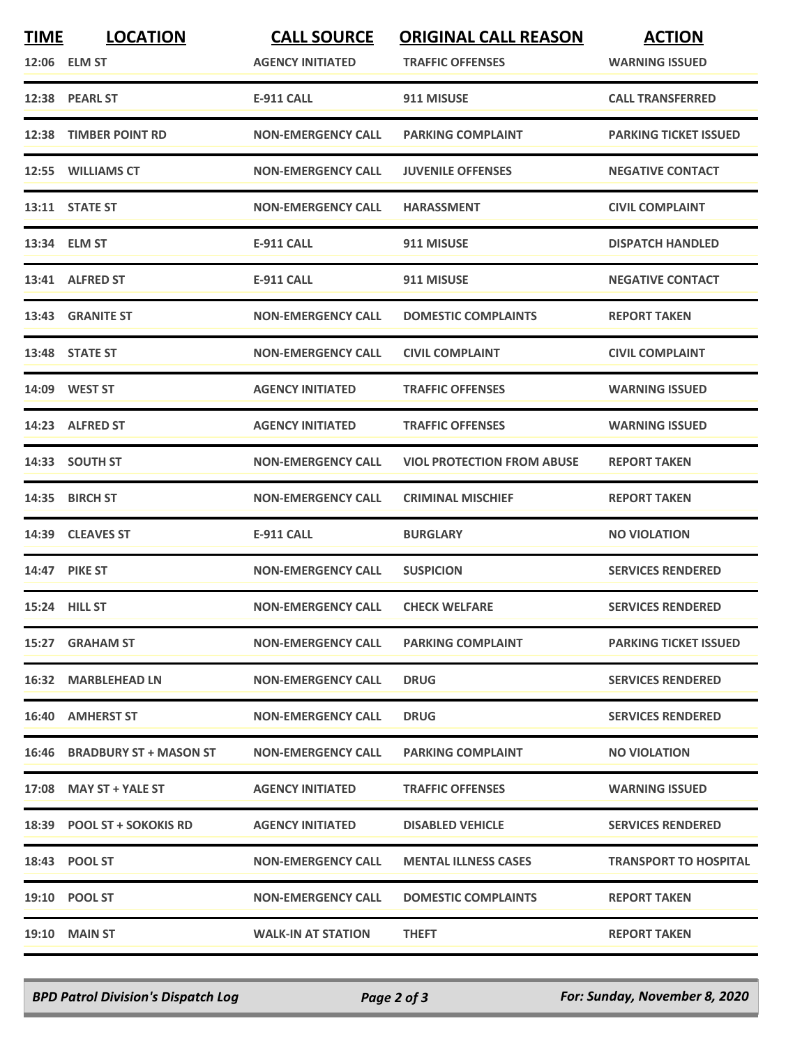| <b>TIME</b> | <b>LOCATION</b><br>12:06 ELM ST | <b>CALL SOURCE</b><br><b>AGENCY INITIATED</b> | <b>ORIGINAL CALL REASON</b><br><b>TRAFFIC OFFENSES</b> | <b>ACTION</b><br><b>WARNING ISSUED</b> |
|-------------|---------------------------------|-----------------------------------------------|--------------------------------------------------------|----------------------------------------|
|             | 12:38 PEARL ST                  | <b>E-911 CALL</b>                             | 911 MISUSE                                             | <b>CALL TRANSFERRED</b>                |
|             | 12:38 TIMBER POINT RD           | <b>NON-EMERGENCY CALL</b>                     | <b>PARKING COMPLAINT</b>                               | <b>PARKING TICKET ISSUED</b>           |
|             | 12:55 WILLIAMS CT               | <b>NON-EMERGENCY CALL</b>                     | <b>JUVENILE OFFENSES</b>                               | <b>NEGATIVE CONTACT</b>                |
|             | 13:11 STATE ST                  | <b>NON-EMERGENCY CALL</b>                     | <b>HARASSMENT</b>                                      | <b>CIVIL COMPLAINT</b>                 |
|             | 13:34 ELM ST                    | <b>E-911 CALL</b>                             | 911 MISUSE                                             | <b>DISPATCH HANDLED</b>                |
|             | 13:41 ALFRED ST                 | <b>E-911 CALL</b>                             | 911 MISUSE                                             | <b>NEGATIVE CONTACT</b>                |
|             | 13:43 GRANITE ST                | <b>NON-EMERGENCY CALL</b>                     | <b>DOMESTIC COMPLAINTS</b>                             | <b>REPORT TAKEN</b>                    |
|             | 13:48 STATE ST                  | <b>NON-EMERGENCY CALL</b>                     | <b>CIVIL COMPLAINT</b>                                 | <b>CIVIL COMPLAINT</b>                 |
|             | 14:09 WEST ST                   | <b>AGENCY INITIATED</b>                       | <b>TRAFFIC OFFENSES</b>                                | <b>WARNING ISSUED</b>                  |
|             | 14:23 ALFRED ST                 | <b>AGENCY INITIATED</b>                       | <b>TRAFFIC OFFENSES</b>                                | <b>WARNING ISSUED</b>                  |
|             | 14:33 SOUTH ST                  | <b>NON-EMERGENCY CALL</b>                     | <b>VIOL PROTECTION FROM ABUSE</b>                      | <b>REPORT TAKEN</b>                    |
|             | 14:35 BIRCH ST                  | <b>NON-EMERGENCY CALL</b>                     | <b>CRIMINAL MISCHIEF</b>                               | <b>REPORT TAKEN</b>                    |
|             | 14:39 CLEAVES ST                | <b>E-911 CALL</b>                             | <b>BURGLARY</b>                                        | <b>NO VIOLATION</b>                    |
|             | <b>14:47 PIKE ST</b>            | <b>NON-EMERGENCY CALL</b>                     | <b>SUSPICION</b>                                       | <b>SERVICES RENDERED</b>               |
|             | 15:24 HILL ST                   | <b>NON-EMERGENCY CALL</b>                     | <b>CHECK WELFARE</b>                                   | <b>SERVICES RENDERED</b>               |
| 15:27       | <b>GRAHAM ST</b>                | <b>NON-EMERGENCY CALL</b>                     | <b>PARKING COMPLAINT</b>                               | <b>PARKING TICKET ISSUED</b>           |
|             | 16:32 MARBLEHEAD LN             | <b>NON-EMERGENCY CALL</b>                     | <b>DRUG</b>                                            | <b>SERVICES RENDERED</b>               |
|             | <b>16:40 AMHERST ST</b>         | <b>NON-EMERGENCY CALL</b>                     | <b>DRUG</b>                                            | <b>SERVICES RENDERED</b>               |
|             | 16:46 BRADBURY ST + MASON ST    | <b>NON-EMERGENCY CALL</b>                     | <b>PARKING COMPLAINT</b>                               | <b>NO VIOLATION</b>                    |
|             | 17:08 MAY ST + YALE ST          | <b>AGENCY INITIATED</b>                       | <b>TRAFFIC OFFENSES</b>                                | <b>WARNING ISSUED</b>                  |
|             | 18:39 POOL ST + SOKOKIS RD      | <b>AGENCY INITIATED</b>                       | <b>DISABLED VEHICLE</b>                                | <b>SERVICES RENDERED</b>               |
|             | 18:43 POOL ST                   | <b>NON-EMERGENCY CALL</b>                     | <b>MENTAL ILLNESS CASES</b>                            | <b>TRANSPORT TO HOSPITAL</b>           |
|             | 19:10 POOL ST                   | <b>NON-EMERGENCY CALL</b>                     | <b>DOMESTIC COMPLAINTS</b>                             | <b>REPORT TAKEN</b>                    |
|             | <b>19:10 MAIN ST</b>            | <b>WALK-IN AT STATION</b>                     | <b>THEFT</b>                                           | <b>REPORT TAKEN</b>                    |

*BPD Patrol Division's Dispatch Log Page 2 of 3 For: Sunday, November 8, 2020*